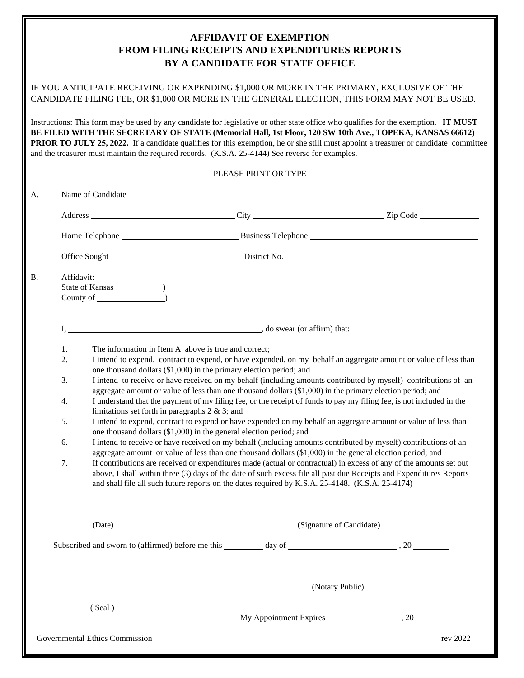## **AFFIDAVIT OF EXEMPTION FROM FILING RECEIPTS AND EXPENDITURES REPORTS BY A CANDIDATE FOR STATE OFFICE**

|                      |                                                                                                                                                                                                                                                                                                                                                                                                                                                                                                                                                                                                                                                                                                                                                                                                                                                                                                                                                                                                                                                                                                                                                                                                                                                                                                                                                                               | IF YOU ANTICIPATE RECEIVING OR EXPENDING \$1,000 OR MORE IN THE PRIMARY, EXCLUSIVE OF THE<br>CANDIDATE FILING FEE, OR \$1,000 OR MORE IN THE GENERAL ELECTION, THIS FORM MAY NOT BE USED.                                                                                                                                                          |                          |  |                                                                                                                                             |
|----------------------|-------------------------------------------------------------------------------------------------------------------------------------------------------------------------------------------------------------------------------------------------------------------------------------------------------------------------------------------------------------------------------------------------------------------------------------------------------------------------------------------------------------------------------------------------------------------------------------------------------------------------------------------------------------------------------------------------------------------------------------------------------------------------------------------------------------------------------------------------------------------------------------------------------------------------------------------------------------------------------------------------------------------------------------------------------------------------------------------------------------------------------------------------------------------------------------------------------------------------------------------------------------------------------------------------------------------------------------------------------------------------------|----------------------------------------------------------------------------------------------------------------------------------------------------------------------------------------------------------------------------------------------------------------------------------------------------------------------------------------------------|--------------------------|--|---------------------------------------------------------------------------------------------------------------------------------------------|
|                      |                                                                                                                                                                                                                                                                                                                                                                                                                                                                                                                                                                                                                                                                                                                                                                                                                                                                                                                                                                                                                                                                                                                                                                                                                                                                                                                                                                               | Instructions: This form may be used by any candidate for legislative or other state office who qualifies for the exemption. IT MUST<br>BE FILED WITH THE SECRETARY OF STATE (Memorial Hall, 1st Floor, 120 SW 10th Ave., TOPEKA, KANSAS 66612)<br>and the treasurer must maintain the required records. (K.S.A. 25-4144) See reverse for examples. |                          |  | <b>PRIOR TO JULY 25, 2022.</b> If a candidate qualifies for this exemption, he or she still must appoint a treasurer or candidate committee |
| PLEASE PRINT OR TYPE |                                                                                                                                                                                                                                                                                                                                                                                                                                                                                                                                                                                                                                                                                                                                                                                                                                                                                                                                                                                                                                                                                                                                                                                                                                                                                                                                                                               |                                                                                                                                                                                                                                                                                                                                                    |                          |  |                                                                                                                                             |
| A.                   |                                                                                                                                                                                                                                                                                                                                                                                                                                                                                                                                                                                                                                                                                                                                                                                                                                                                                                                                                                                                                                                                                                                                                                                                                                                                                                                                                                               |                                                                                                                                                                                                                                                                                                                                                    |                          |  |                                                                                                                                             |
|                      |                                                                                                                                                                                                                                                                                                                                                                                                                                                                                                                                                                                                                                                                                                                                                                                                                                                                                                                                                                                                                                                                                                                                                                                                                                                                                                                                                                               |                                                                                                                                                                                                                                                                                                                                                    |                          |  |                                                                                                                                             |
|                      |                                                                                                                                                                                                                                                                                                                                                                                                                                                                                                                                                                                                                                                                                                                                                                                                                                                                                                                                                                                                                                                                                                                                                                                                                                                                                                                                                                               |                                                                                                                                                                                                                                                                                                                                                    |                          |  |                                                                                                                                             |
|                      |                                                                                                                                                                                                                                                                                                                                                                                                                                                                                                                                                                                                                                                                                                                                                                                                                                                                                                                                                                                                                                                                                                                                                                                                                                                                                                                                                                               |                                                                                                                                                                                                                                                                                                                                                    |                          |  |                                                                                                                                             |
| <b>B.</b>            | Affidavit:                                                                                                                                                                                                                                                                                                                                                                                                                                                                                                                                                                                                                                                                                                                                                                                                                                                                                                                                                                                                                                                                                                                                                                                                                                                                                                                                                                    |                                                                                                                                                                                                                                                                                                                                                    |                          |  |                                                                                                                                             |
|                      | State of Kansas                                                                                                                                                                                                                                                                                                                                                                                                                                                                                                                                                                                                                                                                                                                                                                                                                                                                                                                                                                                                                                                                                                                                                                                                                                                                                                                                                               | County of $\qquad \qquad$                                                                                                                                                                                                                                                                                                                          |                          |  |                                                                                                                                             |
|                      |                                                                                                                                                                                                                                                                                                                                                                                                                                                                                                                                                                                                                                                                                                                                                                                                                                                                                                                                                                                                                                                                                                                                                                                                                                                                                                                                                                               |                                                                                                                                                                                                                                                                                                                                                    |                          |  |                                                                                                                                             |
|                      |                                                                                                                                                                                                                                                                                                                                                                                                                                                                                                                                                                                                                                                                                                                                                                                                                                                                                                                                                                                                                                                                                                                                                                                                                                                                                                                                                                               |                                                                                                                                                                                                                                                                                                                                                    |                          |  |                                                                                                                                             |
|                      | 1.<br>The information in Item A above is true and correct;<br>2.<br>I intend to expend, contract to expend, or have expended, on my behalf an aggregate amount or value of less than<br>one thousand dollars $(\$1,000)$ in the primary election period; and<br>I intend to receive or have received on my behalf (including amounts contributed by myself) contributions of an<br>3.<br>aggregate amount or value of less than one thousand dollars (\$1,000) in the primary election period; and<br>I understand that the payment of my filing fee, or the receipt of funds to pay my filing fee, is not included in the<br>4.<br>limitations set forth in paragraphs $2 \& 3$ ; and<br>I intend to expend, contract to expend or have expended on my behalf an aggregate amount or value of less than<br>5.<br>one thousand dollars (\$1,000) in the general election period; and<br>I intend to receive or have received on my behalf (including amounts contributed by myself) contributions of an<br>6.<br>aggregate amount or value of less than one thousand dollars (\$1,000) in the general election period; and<br>7.<br>If contributions are received or expenditures made (actual or contractual) in excess of any of the amounts set out<br>above, I shall within three (3) days of the date of such excess file all past due Receipts and Expenditures Reports |                                                                                                                                                                                                                                                                                                                                                    |                          |  |                                                                                                                                             |
|                      |                                                                                                                                                                                                                                                                                                                                                                                                                                                                                                                                                                                                                                                                                                                                                                                                                                                                                                                                                                                                                                                                                                                                                                                                                                                                                                                                                                               | and shall file all such future reports on the dates required by K.S.A. 25-4148. (K.S.A. 25-4174)                                                                                                                                                                                                                                                   |                          |  |                                                                                                                                             |
|                      |                                                                                                                                                                                                                                                                                                                                                                                                                                                                                                                                                                                                                                                                                                                                                                                                                                                                                                                                                                                                                                                                                                                                                                                                                                                                                                                                                                               | (Date)                                                                                                                                                                                                                                                                                                                                             | (Signature of Candidate) |  |                                                                                                                                             |
|                      |                                                                                                                                                                                                                                                                                                                                                                                                                                                                                                                                                                                                                                                                                                                                                                                                                                                                                                                                                                                                                                                                                                                                                                                                                                                                                                                                                                               |                                                                                                                                                                                                                                                                                                                                                    |                          |  |                                                                                                                                             |
|                      | (Notary Public)                                                                                                                                                                                                                                                                                                                                                                                                                                                                                                                                                                                                                                                                                                                                                                                                                                                                                                                                                                                                                                                                                                                                                                                                                                                                                                                                                               |                                                                                                                                                                                                                                                                                                                                                    |                          |  |                                                                                                                                             |
|                      |                                                                                                                                                                                                                                                                                                                                                                                                                                                                                                                                                                                                                                                                                                                                                                                                                                                                                                                                                                                                                                                                                                                                                                                                                                                                                                                                                                               | (Seal)                                                                                                                                                                                                                                                                                                                                             |                          |  |                                                                                                                                             |
|                      |                                                                                                                                                                                                                                                                                                                                                                                                                                                                                                                                                                                                                                                                                                                                                                                                                                                                                                                                                                                                                                                                                                                                                                                                                                                                                                                                                                               | Governmental Ethics Commission                                                                                                                                                                                                                                                                                                                     |                          |  | rev 2022                                                                                                                                    |